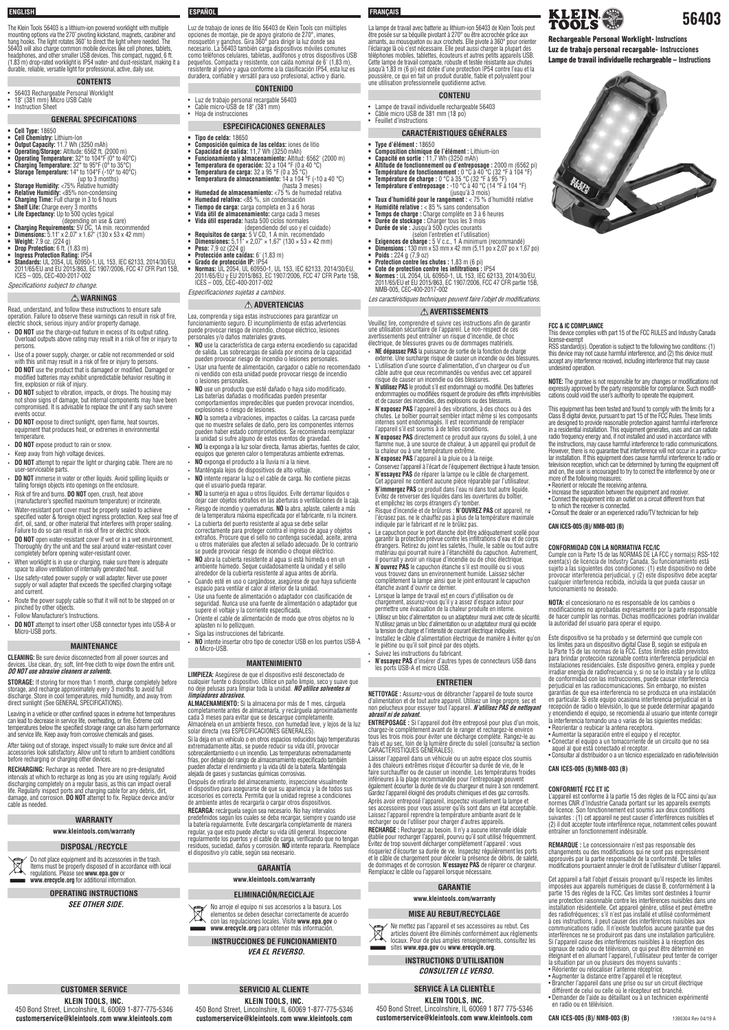# **CONFORMITÉ FCC ET IC**

L'appareil est conforme à la partie 15 des règles de la FCC ainsi qu'aux normes CNR d'Industrie Canada portant sur les appareils exempts de licence. Son fonctionnement est soumis aux deux conditions suivantes : (1) cet appareil ne peut causer d'interférences nuisibles et (2) il doit accepter toute interférence reçue, notamment celles pouvant entraîner un fonctionnement indésirable.

**REMARQUE :** Le concessionnaire n'est pas responsable des changements ou des modifications qui ne sont pas expressément approuvés par la partie responsable de la conformité. De telles modifications pourraient annuler le droit de l'utilisateur d'utiliser l'appareil.

Cet appareil a fait l'objet d'essais prouvant qu'il respecte les limites imposées aux appareils numériques de classe B, conformément à la partie 15 des règles de la FCC. Ces limites sont destinées à fournir une protection raisonnable contre les interférences nuisibles dans une installation résidentielle. Cet appareil génère, utilise et peut émettre des radiofréquences; s'il n'est pas installé et utilisé conformément à ces instructions, il peut causer des interférences nuisibles aux communications radio. Il n'existe toutefois aucune garantie que des interférences ne se produiront pas dans une installation particulière. Si l'appareil cause des interférences nuisibles à la réception des signaux de radio ou de télévision, ce qui peut être déterminé en éteignant et en allumant l'appareil, l'utilisateur peut tenter de corriger la situation par un ou plusieurs des moyens suivants :

- Réorienter ou relocaliser l'antenne réceptrice.
- Augmenter la distance entre l'appareil et le récepteur.
- Brancher l'appareil dans une prise ou sur un circuit électrique différent de celui ou celle où le récepteur est branché.
- Demander de l'aide au détaillant ou à un technicien expérimenté en radio ou en télévision.

**CAN ICES-005 (B)/ NMB-003 (B)**

**56403**

Rechargeable Personal Worklight- **Instructions** Luz de trabajo personal recargable- **Instrucciones** Lampe de travail individuelle rechargeable – **Instructions**

KLEIN &

# **ENGLISH ESPAÑOL FRANÇAIS**

The Klein Tools 56403 is a lithium-ion powered worklight with multiple mounting options via the 270˚ pivoting kickstand, magnets, carabiner and hang hooks. The light rotates 360˚ to direct the light where needed. The 56403 will also charge common mobile devices like cell phones, tablets, headphones, and other smaller USB devices. This compact, rugged, 6 ft. (1.83 m) drop-rated worklight is IP54 water- and dust-resistant, making it a durable, reliable, versatile light for professional, active, daily use.

## **CONTENTS**

## • 56403 Rechargeable Personal Worklight

• 18" (381 mm) Micro USB Cable • Instruction Sheet

### **GENERAL SPECIFICATIONS**

- **DO NOT** use the charge-out feature in excess of its output rating. Overload outputs above rating may result in a risk of fire or injury to persons.
- Use of a power supply, charger, or cable not recommended or sold with this unit may result in a risk of fire or injury to persons.
- **DO NOT** use the product that is damaged or modified. Damaged or modified batteries may exhibit unpredictable behavior resulting in fire, explosion or risk of injury.
- **DO NOT** subject to vibration, impacts, or drops. The housing may not show signs of damage, but internal components may have been compromised. It is advisable to replace the unit if any such severe events occur.
- **DO NOT** expose to direct sunlight, open flame, heat sources equipment that produces heat, or extremes in environmental temperature.
- **DO NOT** expose product to rain or snow.
- Keep away from high voltage devices.
- **DO NOT** attempt to repair the light or charging cable. There are no user-serviceable parts.
- **DO NOT** immerse in water or other liquids. Avoid spilling liquids or falling foreign objects into openings on the enclosure.
- Risk of fire and burns. **DO NOT** open, crush, heat above
- (manufacturer's specified maximum temperature) or incinerate. • Water-resistant port cover must be properly sealed to achieve specified water & foreign object ingress protection. Keep seal free of dirt, oil, sand, or other material that interferes with proper sealing. Failure to do so can result in risk of fire or electric shock.
- **DO NOT** open water-resistant cover if wet or in a wet environment. Thoroughly dry the unit and the seal around water-resistant cover completely before opening water-resistant cover.
- When worklight is in use or charging, make sure there is adequate space to allow ventilation of internally generated heat.
- Use safety-rated power supply or wall adapter. Never use power supply or wall adapter that exceeds the specified charging voltage and current.
- Route the power supply cable so that it will not to be stepped on or pinched by other objects.
- Follow Manufacturer's Instructions.
- **DO NOT** attempt to insert other USB connector types into USB-A or Micro-USB ports.
- **• Cell Type:** 18650
- **• Cell Chemistry:** Lithium-Ion
- **• Output Capacity:** 11.7 Wh (3250 mAh)
- **• Operating/Storage:** Altitude: 6562 ft. (2000 m)
- **• Operating Temperature:** 32° to 104°F (0° to 40°C) **• Charging Temperature:** 32° to 95°F (0° to 35°C)
- **• Storage Temperature:** 14° to 104°F (-10° to 40°C)
- (up to 3 months)
- **Storage Humidity:** <75% Relative humidity
- **• Relative Humidity:** <85% non-condensing
- **• Charging Time:** Full charge in 3 to 6 hours
- **• Shelf Life:** Charge every 3 months **• Life Expectancy:** Up to 500 cycles typical
- (depending on use & care)
- **• Charging Requirements:** 5V DC, 1A min. recommended
- **• Dimensions:** 5.11" x 2.07" x 1.67" (130 x 53 x 42 mm)
- **• Weight:** 7.9 oz. (224 g)
- **• Drop Protection:** 6 ft. (1.83 m) **• Ingress Protection Rating:** IP54
- **• Standards:** UL 2054, UL 60950-1, UL 153, IEC 62133, 2014/30/EU, 2011/65/EU and EU 2015/863, EC 1907/2006, FCC 47 CFR Part 15B, ICES – 005, CEC-400-2017-002

Specifications subject to change.

## **WARNINGS**

Read, understand, and follow these instructions to ensure safe operation. Failure to observe these warnings can result in risk of fire, electric shock, serious injury and/or property damage.

Do not place equipment and its accessories in the trash. Items must be properly disposed of in accordance with local regulations. Please see **www.epa.gov** or **www.erecycle.org** for additional information.

**KLEIN TOOLS, INC.**  450 Bond Street, Lincolnshire, IL 60069 1-877-775-5346 **Customerservice@kleintools.com www.kleintools.com customerservice@kleintools.com www.kleintools.com customerservice@kleintools.com www.kleintools.com CAN ICES-005 (B)/ NMB-003 (B) 1390304 Rev 04/19 A** 

## **MAINTENANCE**

**CLEANING:** Be sure device disconnected from all power sources and devices. Use clean, dry, soft, lint-free cloth to wipe down the entire unit. **DO NOT use abrasive cleaners or solvents.**

**STORAGE:** If storing for more than 1 month, charge completely before storage, and recharge approximately every 3 months to avoid full discharge. Store in cool temperatures, mild humidity, and away from direct sunlight (See GENERAL SPECIFICATIONS).

Leaving in a vehicle or other confined spaces in extreme hot temperatures can lead to decrease in service life, overheating, or fire. Extreme cold temperatures below the specified storage range can also harm performance and service life. Keep away from corrosive chemicals and gases.

After taking out of storage, inspect visually to make sure device and all accessories look satisfactory. Allow unit to return to ambient conditions before recharging or charging other devices.

**RECHARGING:** Recharge as needed. There are no pre-designated intervals at which to recharge as long as you are using regularly. Avoid discharging completely on a regular basis, as this can impact overall life. Regularly inspect ports and charging cable for any debris, dirt, damage, and corrosion. **DO NOT** attempt to fix. Replace device and/or cable as needed.

## **WARRANTY**

### **www.kleintools.com/warranty**

## **DISPOSAL / RECYCLE**

**OPERATING INSTRUCTIONS SEE OTHER SIDE.**

# **CUSTOMER SERVICE**

**FCC & IC COMPLIANCE**

This device complies with part 15 of the FCC RULES and Industry Canada

license-exempt

RSS standard(s). Operation is subject to the following two conditions: (1) this device may not cause harmful interference, and (2) this device must accept any interference received, including interference that may cause

undesired operation.

**NOTE:** The grantee is not responsible for any changes or modifications not expressly approved by the party responsible for compliance. Such modifications could void the user's authority to operate the equipment.

This equipment has been tested and found to comply with the limits for a Class B digital device, pursuant to part 15 of the FCC Rules. These limits are designed to provide reasonable protection against harmful interference in a residential installation. This equipment generates, uses and can radiate radio frequency energy and, if not installed and used in accordance with the instructions, may cause harmful interference to radio communications. However, there is no guarantee that interference will not occur in a particular installation. If this equipment does cause harmful interference to radio or television reception, which can be determined by turning the equipment off and on, the user is encouraged to try to correct the interference by one or

more of the following measures: • Reorient or relocate the receiving antenna.

• Increase the separation between the equipment and receiver. • Connect the equipment into an outlet on a circuit different from that

to which the receiver is connected.

• Consult the dealer or an experienced radio/TV technician for help

**CAN ICES-005 (B)/ NMB-003 (B)**

Luz de trabajo de iones de litio 56403 de Klein Tools con múltiples opciones de montaje, pie de apoyo giratorio de 270°, imanes, mosquetón y ganchos. Gira 360° para dirigir la luz donde sea necesario. La 56403 también carga dispositivos móviles comunes como teléfonos celulares, tabletas, audífonos y otros dispositivos USB pequeños. Compacta y resistente, con caída nominal de 6' (1,83 m), resistente al polvo y agua conforme a la clasificación IP54, esta luz es duradera, confiable y versátil para uso profesional, activo y diario.

## **CONTENIDO**

- Luz de trabajo personal recargable 56403
- Cable micro-USB de 18" (381 mm) • Hoja de instrucciones

## **ESPECIFICACIONES GENERALES**

la chaleur ou à une température extrême. • **N'exposez PAS** l'appareil à la pluie ou à la neige.

- **• Tipo de celda:** 18650
- **• Composición química de las celdas:** iones de litio
- **• Capacidad de salida:** 11,7 Wh (3250 mAh) **• Funcionamiento y almacenamiento:** Altitud: 6562' (2000 m)
- **• Temperatura de operación:** 32 a 104 °F (0 a 40 °C)
- **• Temperatura de carga:** 32 a 95 °F (0 a 35 °C)
- **• Temperatura de almacenamiento:** 14 a 104 °F (-10 a 40 °C) (hasta 3 meses)
- **• Humedad de almacenamiento:** <75 % de humedad relativa
- **• Humedad relativa:** <85 %, sin condensación
- **• Tiempo de carga:** carga completa en 3 a 6 horas
- **• Vida útil de almacenamiento:** carga cada 3 meses **• Vida útil esperada:** hasta 500 ciclos normales
- (dependiendo del uso y el cuidado)
- **• Requisitos de carga:** 5 V CD, 1 A mín. recomendado
- **• Dimensiones:** 5,11" × 2,07" × 1,67" (130 × 53 × 42 mm)
- **• Peso:** 7,9 oz (224 g)
- **• Protección ante caídas:** 6' (1,83 m) **• Grado de protección IP:** IP54
- **• Normas:** UL 2054, UL 60950-1, UL 153, IEC 62133, 2014/30/EU, 2011/65/EU y EU 2015/863, EC 1907/2006, FCC 47 CFR Parte 15B, ICES – 005, CEC-400-2017-002

Le capuchon pour le port étanche doit être adéquatement scellé pour garantir la protection prévue contre les infiltrations d'eau et de corps étrangers. Retirez du joint les saletés, l'huile, le sable ou tout autre matériau qui pourrait nuire à l'étanchéité du capuchon. Autrement, il pourrait y avoir un risque d'incendie ou de choc électrique. • **N'ouvrez PAS** le capuchon étanche s'il est mouillé ou si vous vous trouvez dans un environnement humide. Laissez sécher complètement la lampe ainsi que le joint entourant le capuchon

# Especificaciones sujetas a cambios.

 **ADVERTENCIAS** Lea, comprenda y siga estas instrucciones para garantizar un funcionamiento seguro. El incumplimiento de estas advertencias puede provocar riesgo de incendio, choque eléctrico, lesiones personales y/o daños materiales graves.

> Laisser l'appareil dans un véhicule ou un autre espace clos soumis à des chaleurs extrêmes risque d'écourter sa durée de vie, de le faire surchauffer ou de causer un incendie. Les températures froides

- **NO** use la característica de carga externa excediendo su capacidad de salida. Las sobrecargas de salida por encima de la capacidad pueden provocar riesgo de incendio o lesiones personales.
- Usar una fuente de alimentación, cargador o cable no recomendado ni vendido con esta unidad puede provocar riesgo de incendio o lesiones personales.
- **NO** use un producto que esté dañado o haya sido modificado. Las baterías dañadas o modificadas pueden presentar comportamientos impredecibles que pueden provocar incendios, explosiones o riesgo de lesiones.
- **NO** la someta a vibraciones, impactos o caídas. La carcasa puede que no muestre señales de daño, pero los componentes internos pueden haber estado comprometidos. Se recomienda reemplazar la unidad si sufre alguno de estos eventos de gravedad.
- **NO** la exponga a la luz solar directa, llamas abiertas, fuentes de calor, equipos que generen calor o temperaturas ambiente extremas.
- **NO** exponga el producto a la lluvia ni a la nieve.
- Manténgala lejos de dispositivos de alto voltaje.
- **NO** intente reparar la luz o el cable de carga. No contiene piezas que el usuario pueda reparar.
- **NO** la sumerja en agua u otros líquidos. Evite derramar líquidos o
- dejar caer objetos extraños en las aberturas o ventilaciones de la caja. • Riesgo de incendio y quemaduras. **NO** la abra, aplaste, caliente a más
- de la temperatura máxima especificada por el fabricante, ni la incinere. La cubierta del puerto resistente al agua se debe sellar correctamente para proteger contra el ingreso de agua y objetos extraños. Procure que el sello no contenga suciedad, aceite, arena
- u otros materiales que afecten al sellado adecuado. De lo contrario se puede provocar riesgo de incendio o choque eléctrico. • **NO** abra la cubierta resistente al agua si está húmeda o en un
- ambiente húmedo. Seque cuidadosamente la unidad y el sello alrededor de la cubierta resistente al agua antes de abrirla. • Cuando esté en uso o cargándose, asegúrese de que haya suficiente
- espacio para ventilar el calor al interior de la unidad. • Use una fuente de alimentación o adaptador con clasificación de
- seguridad. Nunca use una fuente de alimentación o adaptador que supere el voltaje y la corriente especificada. • Oriente el cable de alimentación de modo que otros objetos no lo
- aplasten ni lo pellizquen.
	- Siga las instrucciones del fabricante.
	- **NO** intente insertar otro tipo de conector USB en los puertos USB-A o Micro-USB.

### **MANTENIMIENTO**

**LIMPIEZA:** Asegúrese de que el dispositivo esté desconectado de cualquier fuente o dispositivo. Utilice un paño limpio, seco y suave que no deje pelusas para limpiar toda la unidad. **NO utilice solventes ni limpiadores abrasivos.**

**ALMACENAMIENTO:** Si la almacena por más de 1 mes, cárguela completamente antes de almacenarla, y recárguela aproximadamente cada 3 meses para evitar que se descargue completamente. Almacénela en un ambiente fresco, con humedad leve, y lejos de la luz solar directa (vea ESPECIFICACIONES GENERALES).

Si la deja en un vehículo o en otros espacios reducidos bajo temperaturas extremadamente altas, se puede reducir su vida útil, provocar sobrecalentamiento o un incendio. Las temperaturas extremadamente

frías, por debajo del rango de almacenamiento especificado también pueden afectar el rendimiento y la vida útil de la batería. Manténgala alejada de gases y sustancias químicas corrosivas.

#### Después de retirarlo del almacenamiento, inspeccione visualmente el dispositivo para asegurarse de que su apariencia y la de todos sus accesorios es correcta. Permita que la unidad regrese a condiciones de ambiente antes de recargarla o cargar otros dispositivos. **RECARGA:** recárguela según sea necesario. No hay intervalos predefinidos según los cuales se deba recargar, siempre y cuando use la batería regularmente. Evite descargarla completamente de manera regular, ya que esto puede afectar su vida útil general. Inspeccione regularmente los puertos y el cable de carga, verificando que no tengan residuos, suciedad, daños y corrosión. **NO** intente repararla. Reemplace el dispositivo y/o cable, según sea necesario.

## **GARANTÍA**

## **www.kleintools.com/warranty**

# **ELIMINACIÓN/RECICLAJE**

No arroje el equipo ni sus accesorios a la basura. Los  $\boxtimes$ elementos se deben desechar correctamente de acuerdo con las regulaciones locales. Visite **www.epa.gov** o **www.erecycle.org** para obtener más información.

**INSTRUCCIONES DE FUNCIONAMIENTO**

**VEA EL REVERSO.**

# **SERVICIO AL CLIENTE**

**KLEIN TOOLS, INC.**  450 Bond Street, Lincolnshire, IL 60069 1-877-775-5346 **customerservice@kleintools.com www.kleintools.com**

**CONFORMIDAD CON LA NORMATIVA FCC/IC**

Cumple con la Parte 15 de las NORMAS DE LA FCC y norma(s) RSS-102 exenta(s) de licencia de Industry Canada. Su funcionamiento está sujeto a las siguientes dos condiciones: (1) este dispositivo no debe provocar interferencia perjudicial, y (2) este dispositivo debe aceptar cualquier interferencia recibida, incluida la que pueda causar un

funcionamiento no deseado.

**NOTA:** el concesionario no es responsable de los cambios o modificaciones no aprobadas expresamente por la parte responsable de hacer cumplir las normas. Dichas modificaciones podrían invalidar

la autoridad del usuario para operar el equipo.

Este dispositivo se ha probado y se determinó que cumple con los límites para un dispositivo digital Clase B, según se estipula en la Parte 15 de las normas de la FCC. Estos límites están previstos para brindar protección razonable contra interferencia perjudicial en instalaciones residenciales. Este dispositivo genera, emplea y puede irradiar energía de radiofrecuencia y, si no se lo instala y se lo utiliza de conformidad con las instrucciones, puede causar interferencia perjudicial en las radiocomunicaciones. Sin embargo, no existen garantías de que esa interferencia no se produzca en una instalación en particular. Si este equipo ocasiona interferencia perjudicial en la recepción de radio o televisión, lo que se puede determinar apagando y encendiendo el equipo, se recomienda al usuario que intente corregir la interferencia tomando una o varias de las siguientes medidas:

• Reorientar o reubicar la antena receptora. • Aumentar la separación entre el equipo y el receptor. • Conectar el equipo a un tomacorriente de un circuito que no sea

aquel al que está conectado el receptor.

• Consultar al distribuidor o a un técnico especializado en radio/televisión

**CAN ICES-005 (B)/NMB-003 (B)**

La lampe de travail avec batterie au lithium-ion 56403 de Klein Tools peut être posée sur sa béquille pivotant à 270° ou être accrochée grâce aux aimants, au mousqueton ou aux crochets. Elle pivote à 360° pour orienter l'éclairage là où c'est nécessaire. Elle peut aussi charger la plupart des téléphones mobiles, tablettes, écouteurs et autres petits appareils USB. Cette lampe de travail compacte, robuste et testée résistante aux chutes jusqu'à 1,83 m (6 pi) est dotée d'une protection IP54 contre l'eau et la poussière, ce qui en fait un produit durable, fiable et polyvalent pour une utilisation professionnelle quotidienne active.

## **CONTENU**

• Lampe de travail individuelle rechargeable 56403 • Câble micro USB de 381 mm (18 po)

• Feuillet d'instructions

**CARACTÉRISTIQUES GÉNÉRALES**

**• Type d'élément :** 18650

**• Composition chimique de l'élément :** Lithium-ion **• Capacité en sortie :** 11,7 Wh (3250 mAh)

**• Altitude de fonctionnement ou d'entreposage :** 2000 m (6562 pi) **• Température de fonctionnement :** 0 °C à 40 °C (32 °F à 104 °F) **• Température de charge :** 0 °C à 35 °C (32 °F à 95 °F) • **Température d'entreposage : -10 °C à 40 °C (14 °F à 104 °F)** (jusqu'à 3 mois) **• Taux d'humidité pour le rangement :** < 75 % d'humidité relative

**• Humidité relative :** < 85 % sans condensation **• Temps de charge :** Charge complète en 3 à 6 heures **• Durée de stockage :** Charger tous les 3 mois **• Durée de vie :** Jusqu'à 500 cycles courants

(selon l'entretien et l'utilisation) **• Exigences de charge :** 5 V c.c., 1 A minimum (recommandé) **• Dimensions :** 130 mm x 53 mm x 42 mm (5,11 po x 2,07 po x 1,67 po)

**• Poids :** 224 g (7,9 oz)

**• Protection contre les chutes :** 1,83 m (6 pi) **• Cote de protection contre les infiltrations :** IP54

**• Normes :** UL 2054, UL 60950-1, UL 153, IEC 62133, 2014/30/EU, 2011/65/EU et EU 2015/863, EC 1907/2006, FCC 47 CFR partie 15B,

NMB-005, CEC-400-2017-002

Les caractéristiques techniques peuvent faire l'objet de modifications.  **AVERTISSEMENTS** Veuillez lire, comprendre et suivre ces instructions afin de garantir une utilisation sécuritaire de l'appareil. Le non-respect de ces avertissements peut entraîner un risque d'incendie, de choc électrique, de blessures graves ou de dommages matériels. • **NE dépassez PAS** la puissance de sortie de la fonction de charge externe. Une surcharge risque de causer un incendie ou des blessures. • L'utilisation d'une source d'alimentation, d'un chargeur ou d'un câble autre que ceux recommandés ou vendus avec cet appareil

risque de causer un incendie ou des blessures.

• **N'utilisez PAS** le produit s'il est endommagé ou modifié. Des batteries endommagées ou modifiées risquent de produire des effets imprévisibles et de causer des incendies, des explosions ou des blessures. • **N'exposez PAS** l'appareil à des vibrations, à des chocs ou à des chutes. Le boîtier pourrait sembler intact même si les composants internes sont endommagés. Il est recommandé de remplacer

l'appareil s'il est soumis à de telles conditions.

• **N'exposez PAS** directement ce produit aux rayons du soleil, à une flamme nue, à une source de chaleur, à un appareil qui produit de

• Conservez l'appareil à l'écart de l'équipement électrique à haute tension. • **N'essayez PAS** de réparer la lampe ou le câble de chargement. Cet appareil ne contient aucune pièce réparable par l'utilisateur. • **N'immergez PAS** ce produit dans l'eau ni dans tout autre liquide. Évitez de renverser des liquides dans les ouvertures du boîtier,

et empêchez les corps étrangers d'y tomber.

• Risque d'incendie et de brûlures : **N'OUVREZ PAS** cet appareil, ne l'écrasez pas, ne le chauffez pas à plus de la température maximale

indiquée par le fabricant et ne le brûlez pas.

étanche avant d'ouvrir ce dernier.

• Lorsque la lampe de travail est en cours d'utilisation ou de chargement, assurez-vous qu'il y a assez d'espace autour pour permettre une évacuation de la chaleur produite en interne. • Utilisez un bloc d'alimentation ou un adaptateur mural avec cote de sécurité. N'utilisez jamais un bloc d'alimentation ou un adaptateur mural qui excède la tension de charge et l'intensité de courant électrique indiquées. • Installez le câble d'alimentation électrique de manière à éviter qu'on

le piétine ou qu'il soit pincé par des objets. • Suivez les instructions du fabricant.

• **N'essayez PAS** d'insérer d'autres types de connecteurs USB dans

les ports USB-A et micro USB.

**ENTRETIEN NETTOYAGE :** Assurez-vous de débrancher l'appareil de toute source d'alimentation et de tout autre appareil. Utilisez un linge propre, sec et non pelucheux pour essuyer tout l'appareil. **N'utilisez PAS de nettoyant** 

**abrasif ni de solvant.**

**ENTREPOSAGE :** Si l'appareil doit être entreposé pour plus d'un mois, chargez-le complètement avant de le ranger et rechargez-le environ tous les trois mois pour éviter une décharge complète. Rangez-le au frais et au sec, loin de la lumière directe du soleil (consultez la section

CARACTÉRISTIQUES GÉNÉRALES).

inférieures à la plage recommandée pour l'entreposage peuvent également écourter la durée de vie du chargeur et nuire à son rendement. Gardez l'appareil éloigné des produits chimiques et des gaz corrosifs. Après avoir entreposé l'appareil, inspectez visuellement la lampe et ses accessoires pour vous assurer qu'ils sont dans un état acceptable. Laissez l'appareil reprendre la température ambiante avant de le recharger ou de l'utiliser pour charger d'autres appareils.

**RECHARGE :** Rechargez au besoin. Il n'y a aucune intervalle idéale établie pour recharger l'appareil, pourvu qu'il soit utilisé fréquemment. Évitez de trop souvent décharger complètement l'appareil : vous risqueriez d'écourter sa durée de vie. Inspectez régulièrement les ports et le câble de chargement pour déceler la présence de débris, de saleté, de dommages et de corrosion. **N'essayez PAS** de réparer ce chargeur. Remplacez le câble ou l'appareil lorsque nécessaire.

# **GARANTIE**

## **www.kleintools.com/warranty**

## **MISE AU REBUT/RECYCLAGE**



Ne mettez pas l'appareil et ses accessoires au rebut. Ces articles doivent être éliminés conformément aux règlements locaux. Pour de plus amples renseignements, consultez les sites **www.epa.gov** ou **www.erecycle.org**.

# **INSTRUCTIONS D'UTILISATION**

# **CONSULTER LE VERSO.**

# **SERVICE À LA CLIENTÈLE**

**KLEIN TOOLS, INC.**  450 Bond Street, Lincolnshire, IL 60069 1 877 775-5346 **customerservice@kleintools.com www.kleintools.com**